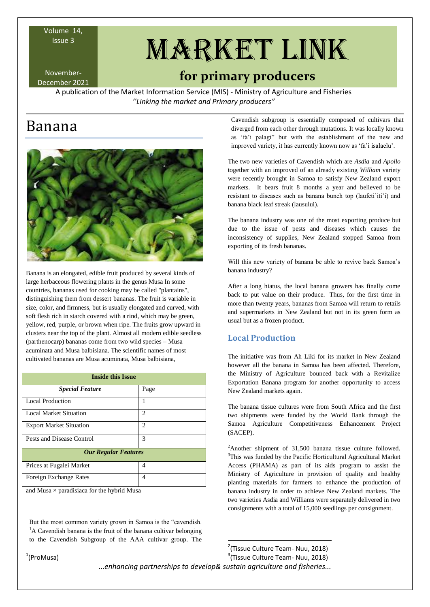Volume 14,

November-

# Issue 3 MARKET LINK

# November-<br>December 2021 **for primary producers**

A publication of the Market Information Service (MIS) - Ministry of Agriculture and Fisheries *''Linking the market and Primary producers"*

# Banana



Banana is an elongated, edible [fruit](https://en.wikipedia.org/wiki/Fruit) produced by several kinds of large [herbaceous](https://en.wikipedia.org/wiki/Herbaceous) [flowering plants](https://en.wikipedia.org/wiki/Flowering_plant) in the [genus](https://en.wikipedia.org/wiki/Genus) Musa In some countries, [bananas used for cooking](https://en.wikipedia.org/wiki/Cooking_banana) may be called "plantains", distinguishing them from dessert bananas. The fruit is variable in size, color, and firmness, but is usually elongated and curved, with soft flesh rich in [starch](https://en.wikipedia.org/wiki/Starch) covered with a rind, which may be green, yellow, red, purple, or brown when ripe. The fruits grow upward in clusters near the top of the plant. Almost all modern edible seedless [\(parthenocarp\)](https://en.wikipedia.org/wiki/Parthenocarpy) bananas come from two wild species – [Musa](https://en.wikipedia.org/wiki/Musa_acuminata)  [acuminata](https://en.wikipedia.org/wiki/Musa_acuminata) and [Musa balbisiana.](https://en.wikipedia.org/wiki/Musa_balbisiana) The [scientific names](https://en.wikipedia.org/wiki/Binomial_nomenclature) of most cultivated bananas are Musa acuminata, Musa balbisiana,

| <b>Inside this Issue</b>       |      |  |  |  |
|--------------------------------|------|--|--|--|
| <b>Special Feature</b>         | Page |  |  |  |
| <b>Local Production</b>        |      |  |  |  |
| <b>Local Market Situation</b>  | 2    |  |  |  |
| <b>Export Market Situation</b> | 2    |  |  |  |
| Pests and Disease Control      | 3    |  |  |  |
| <b>Our Regular Features</b>    |      |  |  |  |
| Prices at Fugalei Market       | 4    |  |  |  |
| Foreign Exchange Rates         | 4    |  |  |  |

and Musa  $\times$  [paradisiaca](https://en.wikipedia.org/wiki/Musa_%C3%97_paradisiaca) for the hybrid Musa

But the most common variety grown in Samoa is the "cavendish. <sup>1</sup>A Cavendish banana is the fruit of the banana cultivar belonging to the Cavendish Subgroup of the AAA cultivar group. The

Cavendish subgroup is essentially composed of cultivars that diverged from each other through mutations. It was locally known as "fa"i palagi" but with the establishment of the new and improved variety, it has currently known now as 'fa'i isalaelu'.

The two new varieties of Cavendish which are *Asdia* and *Apollo* together with an improved of an already existing *William* variety were recently brought in Samoa to satisfy New Zealand export markets. It bears fruit 8 months a year and believed to be resistant to diseases such as banana bunch top (laufeti'iti'i) and banana black leaf streak (lausului).

The banana industry was one of the most exporting produce but due to the issue of pests and diseases which causes the inconsistency of supplies, New Zealand stopped Samoa from exporting of its fresh bananas.

Will this new variety of banana be able to revive back Samoa"s banana industry?

After a long hiatus, the local banana growers has finally come back to put value on their produce. Thus, for the first time in more than twenty years, bananas from Samoa will return to retails and supermarkets in New Zealand but not in its green form as usual but as a frozen product.

# **Local Production**

The initiative was from Ah Liki for its market in New Zealand however all the banana in Samoa has been affected. Therefore, the Ministry of Agriculture bounced back with a Revitalize Exportation Banana program for another opportunity to access New Zealand markets again.

The banana tissue cultures were from South Africa and the first two shipments were funded by the World Bank through the Samoa Agriculture Competitiveness Enhancement Project (SACEP).

<sup>2</sup>Another shipment of 31,500 banana tissue culture followed. <sup>3</sup>This was funded by the Pacific Horticultural Agricultural Market Access (PHAMA) as part of its aids program to assist the Ministry of Agriculture in provision of quality and healthy planting materials for farmers to enhance the production of banana industry in order to achieve New Zealand markets. The two varieties Asdia and Williams were separately delivered in two consignments with a total of 15,000 seedlings per consignment.

...*enhancing partnerships to develop& sustain agriculture and fisheries...* **.** <sup>2</sup>(Tissue Culture Team- Nuu, 2018) 3 (Tissue Culture Team- Nuu, 2018)

1 (ProMusa)

1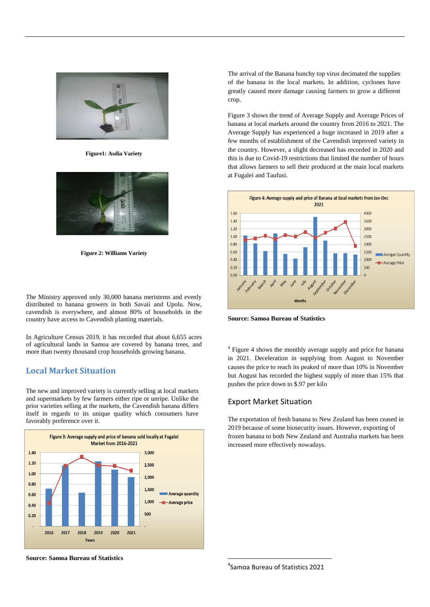

**Figure1: Asdia Variety**



**Figure 2: Williams Variety**

The Ministry approved only 30,000 banana meristems and evenly distributed to banana growers in both Savaii and Upolu. Now, cavendish is everywhere, and almost 80% of households in the country have access to Cavendish planting materials.

In Agriculture Census 2019, it has recorded that about 6,655 acres of agricultural lands in Samoa are covered by banana trees, and more than twenty thousand crop households growing banana.

# **Local Market Situation**

The new and improved variety is currently selling at local markets and supermarkets by few farmers either ripe or unripe. Unlike the prior varieties selling at the markets, the Cavendish banana differs itself in regards to its unique quality which consumers have favorably preference over it.



The arrival of the Banana bunchy top virus decimated the supplies of the banana in the local markets. In addition, cyclones have greatly caused more damage causing farmers to grow a different crop.

Figure 3 shows the trend of Average Supply and Average Prices of banana at local markets around the country from 2016 to 2021. The Average Supply has experienced a huge increased in 2019 after a few months of establishment of the Cavendish improved variety in the country. However, a slight decreased has recorded in 2020 and this is due to Covid-19 restrictions that limited the number of hours that allows farmers to sell their produced at the main local markets at Fugalei and Taufusi.



**Source: Samoa Bureau of Statistics**

<sup>4</sup> Figure 4 shows the monthly average supply and price for banana in 2021. Deceleration in supplying from August to November causes the price to reach its peaked of more than 10% in November but August has recorded the highest supply of more than 15% that pushes the price down to \$.97 per kilo

## Export Market Situation

The exportation of fresh banana to New Zealand has been ceased in 2019 because of some biosecurity issues. However, exporting of frozen banana to both New Zealand and Australia markets has been increased more effectively nowadays.

**Source: Samoa Bureau of Statistics**

4 Samoa Bureau of Statistics 2021

1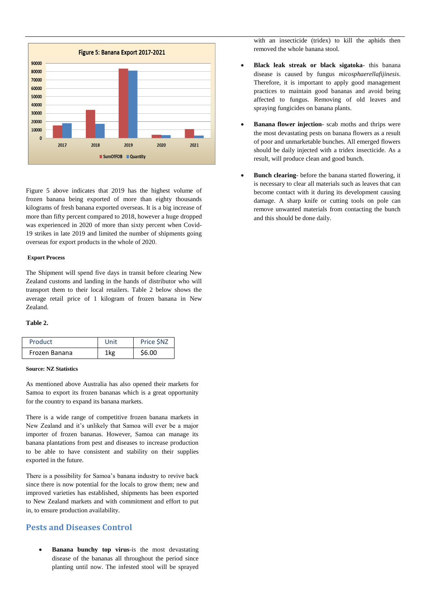

Figure 5 above indicates that 2019 has the highest volume of frozen banana being exported of more than eighty thousands kilograms of fresh banana exported overseas. It is a big increase of more than fifty percent compared to 2018, however a huge dropped was experienced in 2020 of more than sixty percent when Covid-19 strikes in late 2019 and limited the number of shipments going overseas for export products in the whole of 2020.

#### **Export Process**

The Shipment will spend five days in transit before clearing New Zealand customs and landing in the hands of distributor who will transport them to their local retailers. Table 2 below shows the average retail price of 1 kilogram of frozen banana in New Zealand.

#### **Table 2.**

| Product       | Unit | Price SNZ |
|---------------|------|-----------|
| Frozen Banana | 1 kg | \$6.00    |

#### **Source: NZ Statistics**

As mentioned above Australia has also opened their markets for Samoa to export its frozen bananas which is a great opportunity for the country to expand its banana markets.

There is a wide range of competitive frozen banana markets in New Zealand and it's unlikely that Samoa will ever be a major importer of frozen bananas. However, Samoa can manage its banana plantations from pest and diseases to increase production to be able to have consistent and stability on their supplies exported in the future.

There is a possibility for Samoa"s banana industry to revive back since there is now potential for the locals to grow them; new and improved varieties has established, shipments has been exported to New Zealand markets and with commitment and effort to put in, to ensure production availability.

## **Pests and Diseases Control**

 **Banana bunchy top virus**-is the most devastating disease of the bananas all throughout the period since planting until now. The infested stool will be sprayed

with an insecticide (tridex) to kill the aphids then removed the whole banana stool.

- **Black leak streak or black sigatoka** this banana disease is caused by fungus *micosphaerellafijinesis*. Therefore, it is important to apply good management practices to maintain good bananas and avoid being affected to fungus. Removing of old leaves and spraying fungicides on banana plants.
- **Banana flower injection** scab moths and thrips were the most devastating pests on banana flowers as a result of poor and unmarketable bunches. All emerged flowers should be daily injected with a tridex insecticide. As a result, will produce clean and good bunch.
- **Bunch clearing** before the banana started flowering, it is necessary to clear all materials such as leaves that can become contact with it during its development causing damage. A sharp knife or cutting tools on pole can remove unwanted materials from contacting the bunch and this should be done daily.